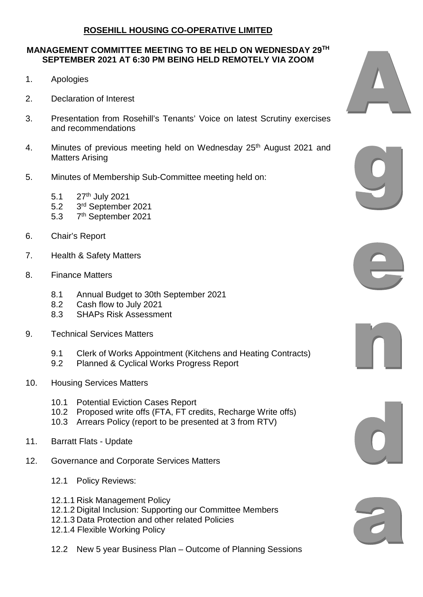## **ROSEHILL HOUSING CO-OPERATIVE LIMITED**

## **MANAGEMENT COMMITTEE MEETING TO BE HELD ON WEDNESDAY 29TH SEPTEMBER 2021 AT 6:30 PM BEING HELD REMOTELY VIA ZOOM**

- 1. Apologies
- 2. Declaration of Interest
- 3. Presentation from Rosehill's Tenants' Voice on latest Scrutiny exercises and recommendations
- 4. Minutes of previous meeting held on Wednesday 25<sup>th</sup> August 2021 and Matters Arising
- 5. Minutes of Membership Sub-Committee meeting held on:
	- 5.1 27<sup>th</sup> July 2021
	- 5.2 3rd September 2021
	- 5.3 7<sup>th</sup> September 2021
- 6. Chair's Report
- 7. Health & Safety Matters
- 8. Finance Matters
	- 8.1 Annual Budget to 30th September 2021
	- 8.2 Cash flow to July 2021<br>8.3 SHAPs Risk Assessme
	- 8.3 SHAPs Risk Assessment
- 9. Technical Services Matters
	- 9.1 Clerk of Works Appointment (Kitchens and Heating Contracts)
	- 9.2 Planned & Cyclical Works Progress Report
- 10. Housing Services Matters
	- 10.1 Potential Eviction Cases Report
	- 10.2 Proposed write offs (FTA, FT credits, Recharge Write offs)
	- 10.3 Arrears Policy (report to be presented at 3 from RTV)
- 11. Barratt Flats Update
- 12. Governance and Corporate Services Matters
	- 12.1 Policy Reviews:
	- 12.1.1 Risk Management Policy
	- 12.1.2 Digital Inclusion: Supporting our Committee Members
	- 12.1.3 Data Protection and other related Policies
	- 12.1.4 Flexible Working Policy
	- 12.2 New 5 year Business Plan Outcome of Planning Sessions